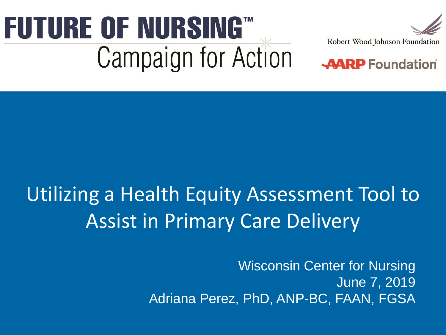# **FUTURE OF NURSING"**<br>Campaign for Action





## Utilizing a Health Equity Assessment Tool to Assist in Primary Care Delivery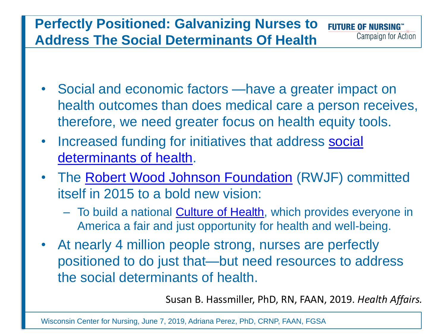#### **Perfectly Positioned: Galvanizing Nurses to FUTURE OF NURSING™** Campaign for Action **Address The Social Determinants Of Health**

- Social and economic factors —have a greater impact on health outcomes than does medical care a person receives, therefore, we need greater focus on health equity tools.
- Increased funding for initiatives that address social determinants of health.
- The [Robert Wood Johnson Foundation](https://www.rwjf.org/en/library/research/2017/05/what-is-health-equity-.html) (RWJF) committed itself in 2015 to a bold new vision:
	- To build a national **Culture of Health**, which provides everyone in America a fair and just opportunity for health and well-being.
- At nearly 4 million people strong, nurses are perfectly positioned to do just that—but need resources to address the social determinants of health.

Susan B. Hassmiller, PhD, RN, FAAN, 2019. *Health Affairs.*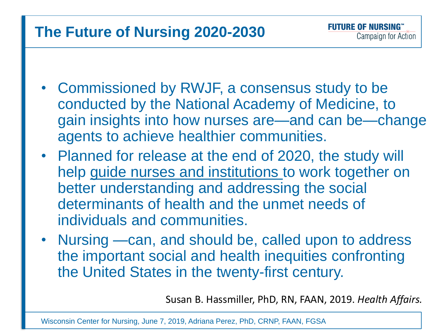### **The Future of Nursing 2020-2030**

- Commissioned by RWJF, a consensus study to be conducted by the National Academy of Medicine, to gain insights into how nurses are—and can be—change agents to achieve healthier communities.
- Planned for release at the end of 2020, the study will help guide nurses and institutions to work together on better understanding and addressing the social determinants of health and the unmet needs of individuals and communities.
- Nursing —can, and should be, called upon to address the important social and health inequities confronting the United States in the twenty-first century.

Susan B. Hassmiller, PhD, RN, FAAN, 2019. *Health Affairs.*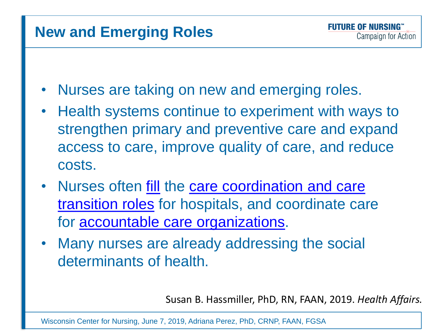#### **New and Emerging Roles**

- Nurses are taking on new and emerging roles.
- Health systems continue to experiment with ways to strengthen primary and preventive care and expand access to care, improve quality of care, and reduce costs.
- Nurses often [fill](https://publichealth.gwu.edu/sites/default/files/downloads/HPM/Activating%20Nursing%20To%20Address%20Unmet%20Needs%20In%20The%2021st%20Century.pdf) the care coordination and care transition roles [for hospitals, and coordinate car](https://ldi.upenn.edu/sites/default/files/pdf/inqri-ldi-brief-nursing.pdf)e for [accountable care organizations](https://innovation.cms.gov/initiatives/ACO/).
- Many nurses are already addressing the social determinants of health.

Susan B. Hassmiller, PhD, RN, FAAN, 2019. *Health Affairs.*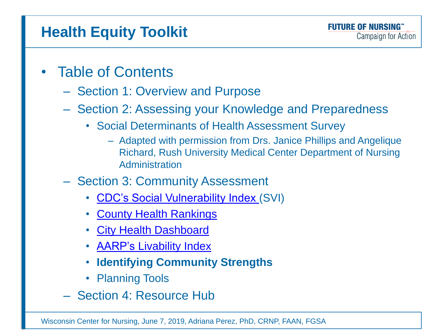## **Health Equity Toolkit**

- Table of Contents
	- Section 1: Overview and Purpose
	- Section 2: Assessing your Knowledge and Preparedness
		- Social Determinants of Health Assessment Survey
			- Adapted with permission from Drs. Janice Phillips and Angelique Richard, Rush University Medical Center Department of Nursing Administration
	- Section 3: Community Assessment
		- [CDC's Social Vulnerability Index](https://svi.cdc.gov/) (SVI)
		- **[County Health](http://www.countyhealthrankings.org/) Rankings**
		- **[City Health](https://med.nyu.edu/pophealth/city-health-dashboard) Dashboard**
		- **AARP's [Livability](https://livabilityindex.aarp.org/faqs#faq-1) Index**
		- **Identifying Community Strengths**
		- Planning Tools
	- Section 4: Resource Hub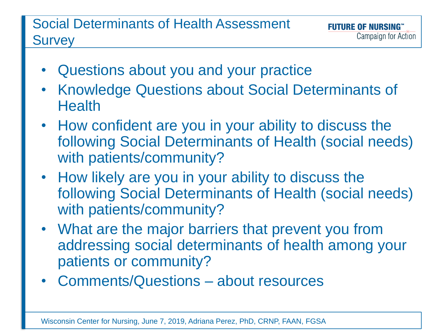#### Social Determinants of Health Assessment **Survey**

- Questions about you and your practice
- Knowledge Questions about Social Determinants of **Health**
- How confident are you in your ability to discuss the following Social Determinants of Health (social needs) with patients/community?
- How likely are you in your ability to discuss the following Social Determinants of Health (social needs) with patients/community?
- What are the major barriers that prevent you from addressing social determinants of health among your patients or community?
- Comments/Questions about resources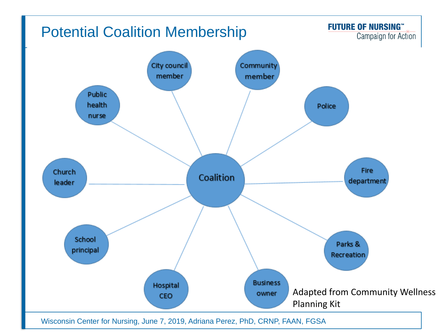